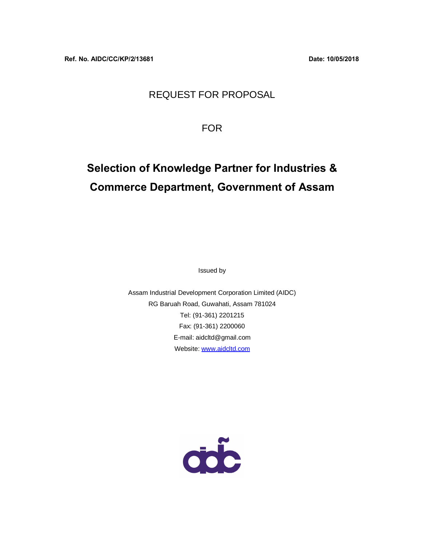## REQUEST FOR PROPOSAL

FOR

## **Selection of Knowledge Partner for Industries & Commerce Department, Government of Assam**

Issued by

Assam Industrial Development Corporation Limited (AIDC) RG Baruah Road, Guwahati, Assam 781024 Tel: (91-361) 2201215 Fax: (91-361) 2200060 E-mail: aidcltd@gmail.com Website: www.aidcltd.com

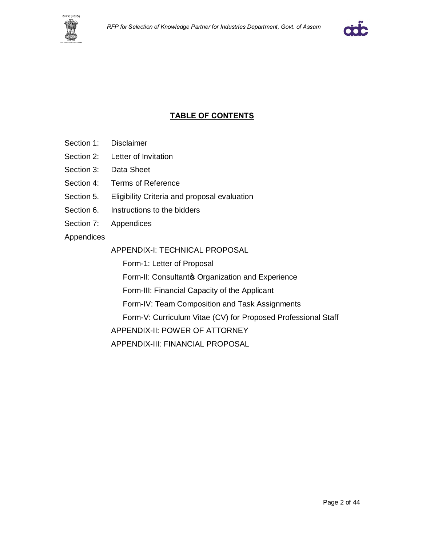



### **TABLE OF CONTENTS**

- Section 1: Disclaimer
- Section 2: Letter of Invitation
- Section 3: Data Sheet
- Section 4: Terms of Reference
- Section 5. Eligibility Criteria and proposal evaluation
- Section 6. Instructions to the bidders
- Section 7: Appendices
- Appendices

#### APPENDIX-I: TECHNICAL PROPOSAL

Form-1: Letter of Proposal

Form-II: Consultanto Organization and Experience

Form-III: Financial Capacity of the Applicant

Form-IV: Team Composition and Task Assignments

Form-V: Curriculum Vitae (CV) for Proposed Professional Staff

APPENDIX-II: POWER OF ATTORNEY

APPENDIX-III: FINANCIAL PROPOSAL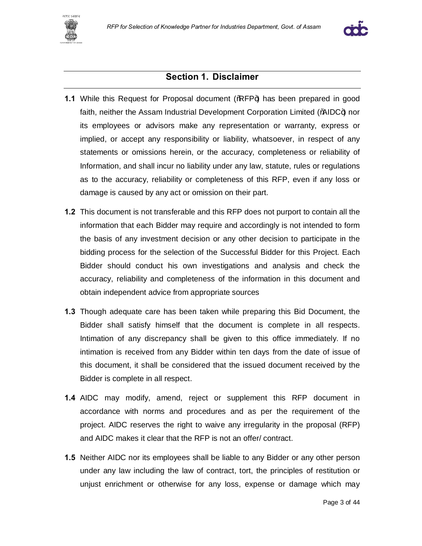



## **Section 1. Disclaimer**

- **1.1** While this Request for Proposal document (%RFP+) has been prepared in good faith, neither the Assam Industrial Development Corporation Limited (%AIDC+) nor its employees or advisors make any representation or warranty, express or implied, or accept any responsibility or liability, whatsoever, in respect of any statements or omissions herein, or the accuracy, completeness or reliability of Information, and shall incur no liability under any law, statute, rules or regulations as to the accuracy, reliability or completeness of this RFP, even if any loss or damage is caused by any act or omission on their part.
- **1.2** This document is not transferable and this RFP does not purport to contain all the information that each Bidder may require and accordingly is not intended to form the basis of any investment decision or any other decision to participate in the bidding process for the selection of the Successful Bidder for this Project. Each Bidder should conduct his own investigations and analysis and check the accuracy, reliability and completeness of the information in this document and obtain independent advice from appropriate sources
- **1.3** Though adequate care has been taken while preparing this Bid Document, the Bidder shall satisfy himself that the document is complete in all respects. Intimation of any discrepancy shall be given to this office immediately. If no intimation is received from any Bidder within ten days from the date of issue of this document, it shall be considered that the issued document received by the Bidder is complete in all respect.
- **1.4** AIDC may modify, amend, reject or supplement this RFP document in accordance with norms and procedures and as per the requirement of the project. AIDC reserves the right to waive any irregularity in the proposal (RFP) and AIDC makes it clear that the RFP is not an offer/ contract.
- **1.5** Neither AIDC nor its employees shall be liable to any Bidder or any other person under any law including the law of contract, tort, the principles of restitution or unjust enrichment or otherwise for any loss, expense or damage which may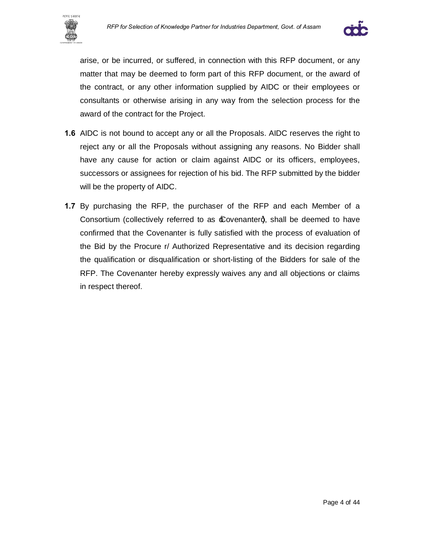



arise, or be incurred, or suffered, in connection with this RFP document, or any matter that may be deemed to form part of this RFP document, or the award of the contract, or any other information supplied by AIDC or their employees or consultants or otherwise arising in any way from the selection process for the award of the contract for the Project.

- **1.6** AIDC is not bound to accept any or all the Proposals. AIDC reserves the right to reject any or all the Proposals without assigning any reasons. No Bidder shall have any cause for action or claim against AIDC or its officers, employees, successors or assignees for rejection of his bid. The RFP submitted by the bidder will be the property of AIDC.
- **1.7** By purchasing the RFP, the purchaser of the RFP and each Member of a Consortium (collectively referred to as  $\pounds$  ovenanterg, shall be deemed to have confirmed that the Covenanter is fully satisfied with the process of evaluation of the Bid by the Procure r/ Authorized Representative and its decision regarding the qualification or disqualification or short-listing of the Bidders for sale of the RFP. The Covenanter hereby expressly waives any and all objections or claims in respect thereof.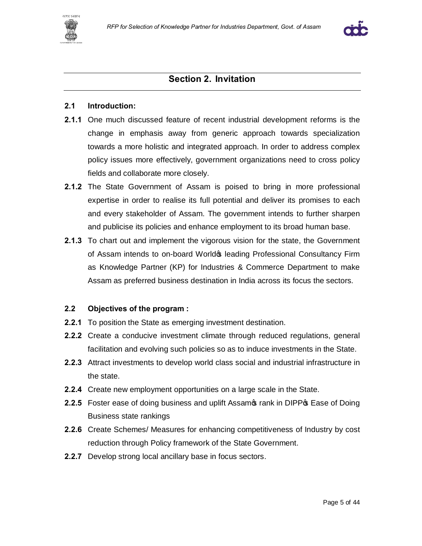



## **Section 2. Invitation**

#### **2.1 Introduction:**

- **2.1.1** One much discussed feature of recent industrial development reforms is the change in emphasis away from generic approach towards specialization towards a more holistic and integrated approach. In order to address complex policy issues more effectively, government organizations need to cross policy fields and collaborate more closely.
- **2.1.2** The State Government of Assam is poised to bring in more professional expertise in order to realise its full potential and deliver its promises to each and every stakeholder of Assam. The government intends to further sharpen and publicise its policies and enhance employment to its broad human base.
- **2.1.3** To chart out and implement the vigorous vision for the state, the Government of Assam intends to on-board World & leading Professional Consultancy Firm as Knowledge Partner (KP) for Industries & Commerce Department to make Assam as preferred business destination in India across its focus the sectors.

#### **2.2 Objectives of the program :**

- **2.2.1** To position the State as emerging investment destination.
- **2.2.2** Create a conducive investment climate through reduced regulations, general facilitation and evolving such policies so as to induce investments in the State.
- **2.2.3** Attract investments to develop world class social and industrial infrastructure in the state.
- **2.2.4** Create new employment opportunities on a large scale in the State.
- **2.2.5** Foster ease of doing business and uplift Assamos rank in DIPP<sub>®</sub> Ease of Doing Business state rankings
- **2.2.6** Create Schemes/ Measures for enhancing competitiveness of Industry by cost reduction through Policy framework of the State Government.
- **2.2.7** Develop strong local ancillary base in focus sectors.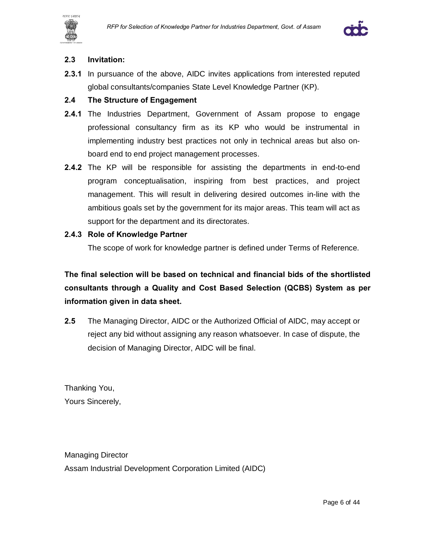





#### **2.3 Invitation:**

**2.3.1** In pursuance of the above, AIDC invites applications from interested reputed global consultants/companies State Level Knowledge Partner (KP).

#### **2.4 The Structure of Engagement**

- **2.4.1** The Industries Department, Government of Assam propose to engage professional consultancy firm as its KP who would be instrumental in implementing industry best practices not only in technical areas but also onboard end to end project management processes.
- **2.4.2** The KP will be responsible for assisting the departments in end-to-end program conceptualisation, inspiring from best practices, and project management. This will result in delivering desired outcomes in-line with the ambitious goals set by the government for its major areas. This team will act as support for the department and its directorates.

#### **2.4.3 Role of Knowledge Partner**

The scope of work for knowledge partner is defined under Terms of Reference.

**The final selection will be based on technical and financial bids of the shortlisted consultants through a Quality and Cost Based Selection (QCBS) System as per information given in data sheet.**

**2.5** The Managing Director, AIDC or the Authorized Official of AIDC, may accept or reject any bid without assigning any reason whatsoever. In case of dispute, the decision of Managing Director, AIDC will be final.

Thanking You, Yours Sincerely,

Managing Director Assam Industrial Development Corporation Limited (AIDC)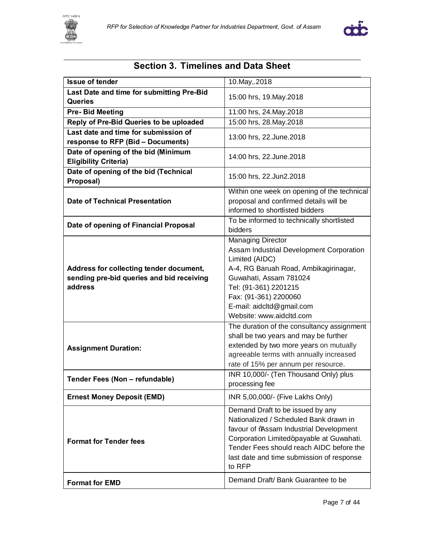



## **Section 3. Timelines and Data Sheet**

| <b>Issue of tender</b>                                              | 10.May, 2018                                                                         |  |
|---------------------------------------------------------------------|--------------------------------------------------------------------------------------|--|
| Last Date and time for submitting Pre-Bid                           |                                                                                      |  |
| <b>Queries</b>                                                      | 15:00 hrs, 19. May . 2018                                                            |  |
| <b>Pre-Bid Meeting</b>                                              | 11:00 hrs, 24. May. 2018                                                             |  |
| Reply of Pre-Bid Queries to be uploaded                             | 15:00 hrs, 28. May. 2018                                                             |  |
| Last date and time for submission of                                |                                                                                      |  |
| response to RFP (Bid - Documents)                                   | 13:00 hrs, 22. June. 2018                                                            |  |
| Date of opening of the bid (Minimum<br><b>Eligibility Criteria)</b> | 14:00 hrs, 22. June. 2018                                                            |  |
| Date of opening of the bid (Technical<br>Proposal)                  | 15:00 hrs, 22.Jun2.2018                                                              |  |
|                                                                     | Within one week on opening of the technical                                          |  |
| <b>Date of Technical Presentation</b>                               | proposal and confirmed details will be                                               |  |
|                                                                     | informed to shortlisted bidders                                                      |  |
| Date of opening of Financial Proposal                               | To be informed to technically shortlisted                                            |  |
|                                                                     | bidders                                                                              |  |
|                                                                     | <b>Managing Director</b>                                                             |  |
|                                                                     | Assam Industrial Development Corporation                                             |  |
|                                                                     | Limited (AIDC)                                                                       |  |
| Address for collecting tender document,                             | A-4, RG Baruah Road, Ambikagirinagar,<br>Guwahati, Assam 781024                      |  |
| sending pre-bid queries and bid receiving<br>address                | Tel: (91-361) 2201215                                                                |  |
|                                                                     | Fax: (91-361) 2200060                                                                |  |
|                                                                     | E-mail: aidcltd@gmail.com                                                            |  |
|                                                                     | Website: www.aidcltd.com                                                             |  |
|                                                                     | The duration of the consultancy assignment                                           |  |
|                                                                     | shall be two years and may be further                                                |  |
|                                                                     | extended by two more years on mutually                                               |  |
| <b>Assignment Duration:</b>                                         | agreeable terms with annually increased                                              |  |
|                                                                     | rate of 15% per annum per resource.                                                  |  |
|                                                                     | INR 10,000/- (Ten Thousand Only) plus                                                |  |
| Tender Fees (Non - refundable)                                      | processing fee                                                                       |  |
| <b>Ernest Money Deposit (EMD)</b>                                   | INR 5,00,000/- (Five Lakhs Only)                                                     |  |
|                                                                     | Demand Draft to be issued by any                                                     |  |
|                                                                     | Nationalized / Scheduled Bank drawn in                                               |  |
|                                                                     | favour of %ssam Industrial Development                                               |  |
| <b>Format for Tender fees</b>                                       | Corporation Limited+payable at Guwahati.<br>Tender Fees should reach AIDC before the |  |
|                                                                     | last date and time submission of response                                            |  |
|                                                                     | to RFP                                                                               |  |
|                                                                     |                                                                                      |  |
| <b>Format for EMD</b>                                               | Demand Draft/Bank Guarantee to be                                                    |  |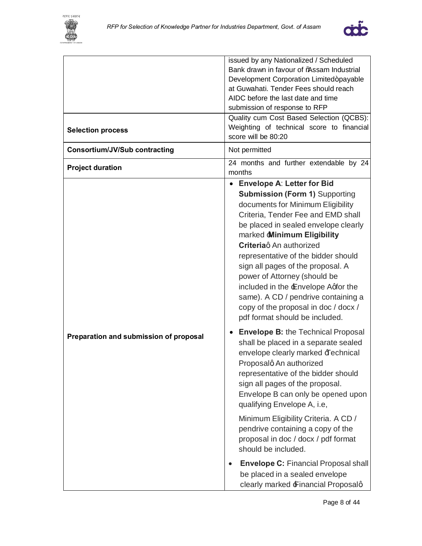



| <b>Selection process</b>               | issued by any Nationalized / Scheduled<br>Bank drawn in favour of %Assam Industrial<br>Development Corporation Limited+payable<br>at Guwahati. Tender Fees should reach<br>AIDC before the last date and time<br>submission of response to RFP<br>Quality cum Cost Based Selection (QCBS):<br>Weighting of technical score to financial<br>score will be 80:20                                                                                                                                                                                                                                                                                                                                                                                                                                                                                                                                                                                                                                                                                                                                                   |  |
|----------------------------------------|------------------------------------------------------------------------------------------------------------------------------------------------------------------------------------------------------------------------------------------------------------------------------------------------------------------------------------------------------------------------------------------------------------------------------------------------------------------------------------------------------------------------------------------------------------------------------------------------------------------------------------------------------------------------------------------------------------------------------------------------------------------------------------------------------------------------------------------------------------------------------------------------------------------------------------------------------------------------------------------------------------------------------------------------------------------------------------------------------------------|--|
| <b>Consortium/JV/Sub contracting</b>   | Not permitted                                                                                                                                                                                                                                                                                                                                                                                                                                                                                                                                                                                                                                                                                                                                                                                                                                                                                                                                                                                                                                                                                                    |  |
| <b>Project duration</b>                | 24 months and further extendable by 24<br>months                                                                                                                                                                                                                                                                                                                                                                                                                                                                                                                                                                                                                                                                                                                                                                                                                                                                                                                                                                                                                                                                 |  |
| Preparation and submission of proposal | • Envelope A: Letter for Bid<br><b>Submission (Form 1) Supporting</b><br>documents for Minimum Eligibility<br>Criteria, Tender Fee and EMD shall<br>be placed in sealed envelope clearly<br>marked <b>Minimum Eligibility</b><br><b>Criteria</b> q An authorized<br>representative of the bidder should<br>sign all pages of the proposal. A<br>power of Attorney (should be<br>included in the Envelope Aqfor the<br>same). A CD / pendrive containing a<br>copy of the proposal in doc / docx /<br>pdf format should be included.<br><b>Envelope B: the Technical Proposal</b><br>shall be placed in a separate sealed<br>envelope clearly marked <b>Fechnical</b><br>Proposalg An authorized<br>representative of the bidder should<br>sign all pages of the proposal.<br>Envelope B can only be opened upon<br>qualifying Envelope A, i.e,<br>Minimum Eligibility Criteria. A CD /<br>pendrive containing a copy of the<br>proposal in doc / docx / pdf format<br>should be included.<br><b>Envelope C: Financial Proposal shall</b><br>be placed in a sealed envelope<br>clearly marked Financial Proposalq |  |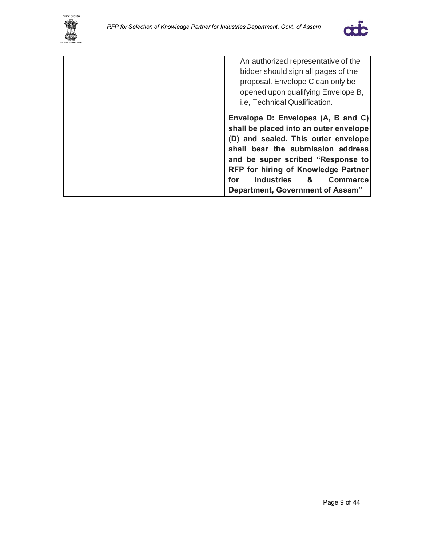



An authorized representative of the bidder should sign all pages of the proposal. Envelope C can only be opened upon qualifying Envelope B, i.e, Technical Qualification. **Envelope D: Envelopes (A, B and C) shall be placed into an outer envelope (D) and sealed. This outer envelope shall bear the submission address and be super scribed "Response to RFP for hiring of Knowledge Partner for Industries & Commerce Department, Government of Assam"**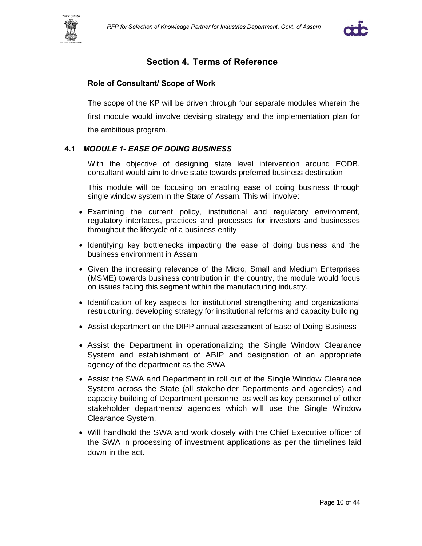



#### **Section 4. Terms of Reference**

#### **Role of Consultant/ Scope of Work**

The scope of the KP will be driven through four separate modules wherein the first module would involve devising strategy and the implementation plan for the ambitious program.

#### **4.1** *MODULE 1- EASE OF DOING BUSINESS*

With the objective of designing state level intervention around EODB, consultant would aim to drive state towards preferred business destination

This module will be focusing on enabling ease of doing business through single window system in the State of Assam. This will involve:

- · Examining the current policy, institutional and regulatory environment, regulatory interfaces, practices and processes for investors and businesses throughout the lifecycle of a business entity
- · Identifying key bottlenecks impacting the ease of doing business and the business environment in Assam
- · Given the increasing relevance of the Micro, Small and Medium Enterprises (MSME) towards business contribution in the country, the module would focus on issues facing this segment within the manufacturing industry.
- · Identification of key aspects for institutional strengthening and organizational restructuring, developing strategy for institutional reforms and capacity building
- · Assist department on the DIPP annual assessment of Ease of Doing Business
- · Assist the Department in operationalizing the Single Window Clearance System and establishment of ABIP and designation of an appropriate agency of the department as the SWA
- · Assist the SWA and Department in roll out of the Single Window Clearance System across the State (all stakeholder Departments and agencies) and capacity building of Department personnel as well as key personnel of other stakeholder departments/ agencies which will use the Single Window Clearance System.
- · Will handhold the SWA and work closely with the Chief Executive officer of the SWA in processing of investment applications as per the timelines laid down in the act.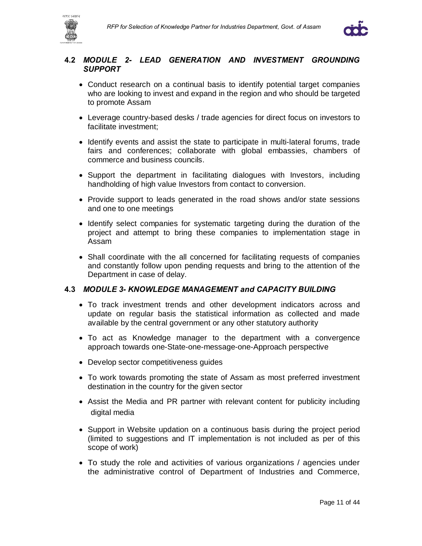



#### **4.2** *MODULE 2- LEAD GENERATION AND INVESTMENT GROUNDING SUPPORT*

- · Conduct research on a continual basis to identify potential target companies who are looking to invest and expand in the region and who should be targeted to promote Assam
- · Leverage country-based desks / trade agencies for direct focus on investors to facilitate investment;
- · Identify events and assist the state to participate in multi-lateral forums, trade fairs and conferences; collaborate with global embassies, chambers of commerce and business councils.
- · Support the department in facilitating dialogues with Investors, including handholding of high value Investors from contact to conversion.
- · Provide support to leads generated in the road shows and/or state sessions and one to one meetings
- · Identify select companies for systematic targeting during the duration of the project and attempt to bring these companies to implementation stage in Assam
- · Shall coordinate with the all concerned for facilitating requests of companies and constantly follow upon pending requests and bring to the attention of the Department in case of delay.

#### **4.3** *MODULE 3- KNOWLEDGE MANAGEMENT and CAPACITY BUILDING*

- · To track investment trends and other development indicators across and update on regular basis the statistical information as collected and made available by the central government or any other statutory authority
- · To act as Knowledge manager to the department with a convergence approach towards one-State-one-message-one-Approach perspective
- · Develop sector competitiveness guides
- · To work towards promoting the state of Assam as most preferred investment destination in the country for the given sector
- · Assist the Media and PR partner with relevant content for publicity including digital media
- · Support in Website updation on a continuous basis during the project period (limited to suggestions and IT implementation is not included as per of this scope of work)
- · To study the role and activities of various organizations / agencies under the administrative control of Department of Industries and Commerce,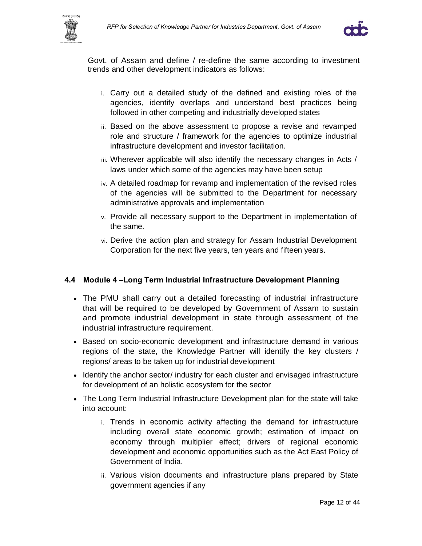



Govt. of Assam and define / re-define the same according to investment trends and other development indicators as follows:

- i. Carry out a detailed study of the defined and existing roles of the agencies, identify overlaps and understand best practices being followed in other competing and industrially developed states
- ii. Based on the above assessment to propose a revise and revamped role and structure / framework for the agencies to optimize industrial infrastructure development and investor facilitation.
- iii. Wherever applicable will also identify the necessary changes in Acts / laws under which some of the agencies may have been setup
- iv. A detailed roadmap for revamp and implementation of the revised roles of the agencies will be submitted to the Department for necessary administrative approvals and implementation
- v. Provide all necessary support to the Department in implementation of the same.
- vi. Derive the action plan and strategy for Assam Industrial Development Corporation for the next five years, ten years and fifteen years.

#### **4.4 Module 4 –Long Term Industrial Infrastructure Development Planning**

- · The PMU shall carry out a detailed forecasting of industrial infrastructure that will be required to be developed by Government of Assam to sustain and promote industrial development in state through assessment of the industrial infrastructure requirement.
- · Based on socio-economic development and infrastructure demand in various regions of the state, the Knowledge Partner will identify the key clusters / regions/ areas to be taken up for industrial development
- · Identify the anchor sector/ industry for each cluster and envisaged infrastructure for development of an holistic ecosystem for the sector
- · The Long Term Industrial Infrastructure Development plan for the state will take into account:
	- i. Trends in economic activity affecting the demand for infrastructure including overall state economic growth; estimation of impact on economy through multiplier effect; drivers of regional economic development and economic opportunities such as the Act East Policy of Government of India.
	- ii. Various vision documents and infrastructure plans prepared by State government agencies if any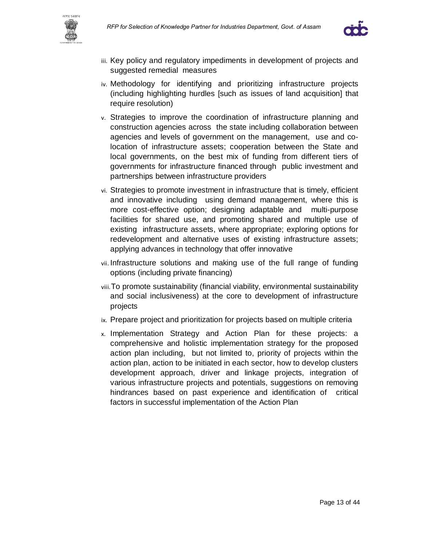



- iii. Key policy and regulatory impediments in development of projects and suggested remedial measures
- iv. Methodology for identifying and prioritizing infrastructure projects (including highlighting hurdles [such as issues of land acquisition] that require resolution)
- v. Strategies to improve the coordination of infrastructure planning and construction agencies across the state including collaboration between agencies and levels of government on the management, use and colocation of infrastructure assets; cooperation between the State and local governments, on the best mix of funding from different tiers of governments for infrastructure financed through public investment and partnerships between infrastructure providers
- vi. Strategies to promote investment in infrastructure that is timely, efficient and innovative including using demand management, where this is more cost-effective option; designing adaptable and multi-purpose facilities for shared use, and promoting shared and multiple use of existing infrastructure assets, where appropriate; exploring options for redevelopment and alternative uses of existing infrastructure assets; applying advances in technology that offer innovative
- vii. Infrastructure solutions and making use of the full range of funding options (including private financing)
- viii.To promote sustainability (financial viability, environmental sustainability and social inclusiveness) at the core to development of infrastructure projects
- ix. Prepare project and prioritization for projects based on multiple criteria
- x. Implementation Strategy and Action Plan for these projects: a comprehensive and holistic implementation strategy for the proposed action plan including, but not limited to, priority of projects within the action plan, action to be initiated in each sector, how to develop clusters development approach, driver and linkage projects, integration of various infrastructure projects and potentials, suggestions on removing hindrances based on past experience and identification of critical factors in successful implementation of the Action Plan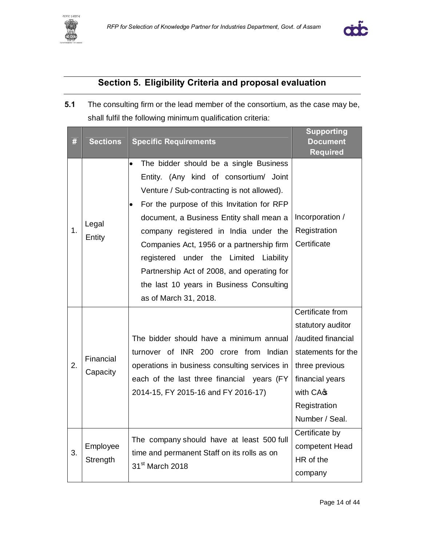



## **Section 5. Eligibility Criteria and proposal evaluation**

**5.1** The consulting firm or the lead member of the consortium, as the case may be, shall fulfil the following minimum qualification criteria:

|    |                       |                                                                                                                                                                                                                                                                                                                                                                                                                                                                             | <b>Supporting</b>                                                                                                                                                    |
|----|-----------------------|-----------------------------------------------------------------------------------------------------------------------------------------------------------------------------------------------------------------------------------------------------------------------------------------------------------------------------------------------------------------------------------------------------------------------------------------------------------------------------|----------------------------------------------------------------------------------------------------------------------------------------------------------------------|
| #  | <b>Sections</b>       | <b>Specific Requirements</b>                                                                                                                                                                                                                                                                                                                                                                                                                                                | <b>Document</b><br><b>Required</b>                                                                                                                                   |
| 1. | Legal<br>Entity       | The bidder should be a single Business<br>Entity. (Any kind of consortium/ Joint<br>Venture / Sub-contracting is not allowed).<br>For the purpose of this Invitation for RFP<br>document, a Business Entity shall mean a<br>company registered in India under the<br>Companies Act, 1956 or a partnership firm<br>registered under the Limited Liability<br>Partnership Act of 2008, and operating for<br>the last 10 years in Business Consulting<br>as of March 31, 2018. | Incorporation /<br>Registration<br>Certificate                                                                                                                       |
| 2. | Financial<br>Capacity | The bidder should have a minimum annual<br>turnover of INR 200 crore from Indian<br>operations in business consulting services in<br>each of the last three financial years (FY<br>2014-15, FY 2015-16 and FY 2016-17)                                                                                                                                                                                                                                                      | Certificate from<br>statutory auditor<br>/audited financial<br>statements for the<br>three previous<br>financial years<br>with CAG<br>Registration<br>Number / Seal. |
| 3. | Employee<br>Strength  | The company should have at least 500 full<br>time and permanent Staff on its rolls as on<br>31 <sup>st</sup> March 2018                                                                                                                                                                                                                                                                                                                                                     | Certificate by<br>competent Head<br>HR of the<br>company                                                                                                             |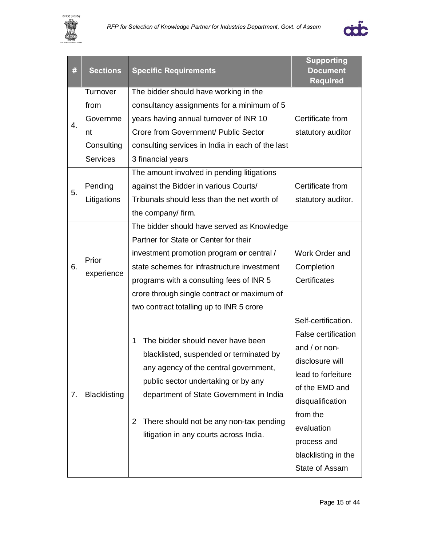



| $\#$     | <b>Sections</b>                                                                               | <b>Specific Requirements</b>                                                                                                                                                                                                                                                                                                                                                         | <b>Supporting</b><br><b>Document</b><br><b>Required</b>                                                                                                                                                                      |
|----------|-----------------------------------------------------------------------------------------------|--------------------------------------------------------------------------------------------------------------------------------------------------------------------------------------------------------------------------------------------------------------------------------------------------------------------------------------------------------------------------------------|------------------------------------------------------------------------------------------------------------------------------------------------------------------------------------------------------------------------------|
| 4.<br>5. | Turnover<br>from<br>Governme<br>nt<br>Consulting<br><b>Services</b><br>Pending<br>Litigations | The bidder should have working in the<br>consultancy assignments for a minimum of 5<br>years having annual turnover of INR 10<br>Crore from Government/ Public Sector<br>consulting services in India in each of the last<br>3 financial years<br>The amount involved in pending litigations<br>against the Bidder in various Courts/<br>Tribunals should less than the net worth of | Certificate from<br>statutory auditor<br>Certificate from<br>statutory auditor.                                                                                                                                              |
|          |                                                                                               | the company/ firm.                                                                                                                                                                                                                                                                                                                                                                   |                                                                                                                                                                                                                              |
| 6.       | Prior<br>experience                                                                           | The bidder should have served as Knowledge<br>Partner for State or Center for their<br>investment promotion program or central /<br>state schemes for infrastructure investment<br>programs with a consulting fees of INR 5<br>crore through single contract or maximum of<br>two contract totalling up to INR 5 crore                                                               | Work Order and<br>Completion<br>Certificates                                                                                                                                                                                 |
| 7.       | <b>Blacklisting</b>                                                                           | The bidder should never have been<br>1<br>blacklisted, suspended or terminated by<br>any agency of the central government,<br>public sector undertaking or by any<br>department of State Government in India<br>There should not be any non-tax pending<br>2<br>litigation in any courts across India.                                                                               | Self-certification.<br>False certification<br>and / or non-<br>disclosure will<br>lead to forfeiture<br>of the EMD and<br>disqualification<br>from the<br>evaluation<br>process and<br>blacklisting in the<br>State of Assam |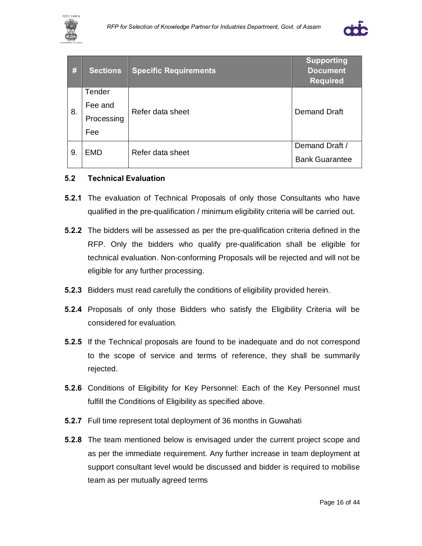



| #  | <b>Sections</b> | <b>Specific Requirements</b> | Supporting<br><b>Document</b><br><b>Required</b> |
|----|-----------------|------------------------------|--------------------------------------------------|
|    | Tender          |                              |                                                  |
| 8. | Fee and         | Refer data sheet             | <b>Demand Draft</b>                              |
|    | Processing      |                              |                                                  |
|    | Fee             |                              |                                                  |
| 9. | <b>EMD</b>      | Refer data sheet             | Demand Draft /                                   |
|    |                 |                              | <b>Bank Guarantee</b>                            |

#### **5.2 Technical Evaluation**

- **5.2.1** The evaluation of Technical Proposals of only those Consultants who have qualified in the pre-qualification / minimum eligibility criteria will be carried out.
- **5.2.2** The bidders will be assessed as per the pre-qualification criteria defined in the RFP. Only the bidders who qualify pre-qualification shall be eligible for technical evaluation. Non-conforming Proposals will be rejected and will not be eligible for any further processing.
- **5.2.3** Bidders must read carefully the conditions of eligibility provided herein.
- **5.2.4** Proposals of only those Bidders who satisfy the Eligibility Criteria will be considered for evaluation.
- **5.2.5** If the Technical proposals are found to be inadequate and do not correspond to the scope of service and terms of reference, they shall be summarily rejected.
- **5.2.6** Conditions of Eligibility for Key Personnel: Each of the Key Personnel must fulfill the Conditions of Eligibility as specified above.
- **5.2.7** Full time represent total deployment of 36 months in Guwahati
- **5.2.8** The team mentioned below is envisaged under the current project scope and as per the immediate requirement. Any further increase in team deployment at support consultant level would be discussed and bidder is required to mobilise team as per mutually agreed terms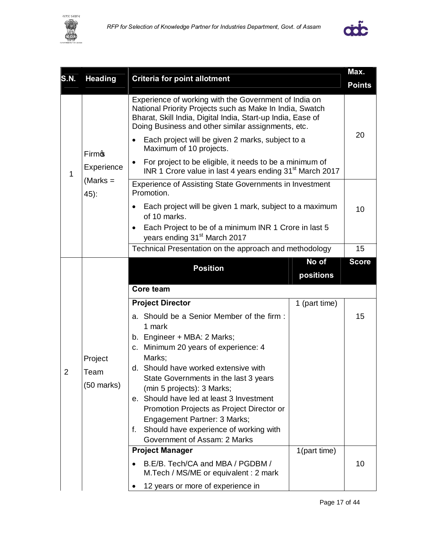



| <b>S.N.</b>    | <b>Heading</b>                          | <b>Criteria for point allotment</b>                                                                                                                                                                                                                                                                                                                                                                                                                                                    |                    | Max.          |
|----------------|-----------------------------------------|----------------------------------------------------------------------------------------------------------------------------------------------------------------------------------------------------------------------------------------------------------------------------------------------------------------------------------------------------------------------------------------------------------------------------------------------------------------------------------------|--------------------|---------------|
|                |                                         |                                                                                                                                                                                                                                                                                                                                                                                                                                                                                        |                    | <b>Points</b> |
|                | <b>Firm</b> s                           | Experience of working with the Government of India on<br>National Priority Projects such as Make In India, Swatch<br>Bharat, Skill India, Digital India, Start-up India, Ease of<br>Doing Business and other similar assignments, etc.<br>Each project will be given 2 marks, subject to a<br>Maximum of 10 projects.                                                                                                                                                                  |                    | 20            |
| 1              | Experience                              | For project to be eligible, it needs to be a minimum of<br>INR 1 Crore value in last 4 years ending 31 <sup>st</sup> March 2017                                                                                                                                                                                                                                                                                                                                                        |                    |               |
|                | $(Marks =$<br>45):                      | <b>Experience of Assisting State Governments in Investment</b><br>Promotion.                                                                                                                                                                                                                                                                                                                                                                                                           |                    |               |
|                |                                         | Each project will be given 1 mark, subject to a maximum<br>of 10 marks.<br>Each Project to be of a minimum INR 1 Crore in last 5<br>years ending 31 <sup>st</sup> March 2017                                                                                                                                                                                                                                                                                                           |                    | 10            |
|                |                                         | Technical Presentation on the approach and methodology                                                                                                                                                                                                                                                                                                                                                                                                                                 |                    | 15            |
|                |                                         | <b>Position</b>                                                                                                                                                                                                                                                                                                                                                                                                                                                                        | No of<br>positions | <b>Score</b>  |
|                |                                         | Core team                                                                                                                                                                                                                                                                                                                                                                                                                                                                              |                    |               |
|                |                                         | <b>Project Director</b>                                                                                                                                                                                                                                                                                                                                                                                                                                                                | 1 (part time)      |               |
| $\overline{2}$ | Project<br>Team<br>$(50 \text{ marks})$ | a. Should be a Senior Member of the firm:<br>1 mark<br>b. Engineer + MBA: 2 Marks;<br>c. Minimum 20 years of experience: 4<br>Marks;<br>d. Should have worked extensive with<br>State Governments in the last 3 years<br>(min 5 projects): 3 Marks;<br>e. Should have led at least 3 Investment<br>Promotion Projects as Project Director or<br>Engagement Partner: 3 Marks;<br>Should have experience of working with<br>f.<br>Government of Assam: 2 Marks<br><b>Project Manager</b> | 1(part time)       | 15            |
|                |                                         | B.E/B. Tech/CA and MBA / PGDBM /<br>M.Tech / MS/ME or equivalent : 2 mark<br>12 years or more of experience in                                                                                                                                                                                                                                                                                                                                                                         |                    | 10            |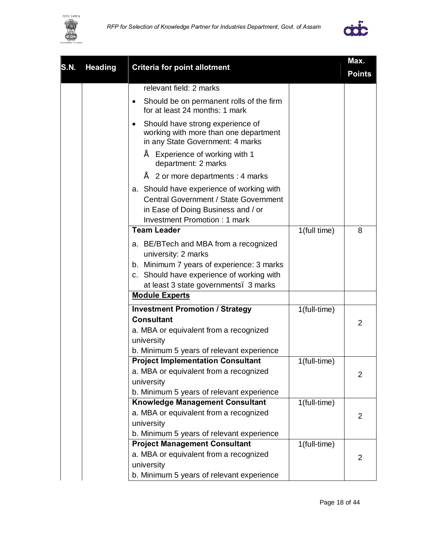



|             |                |                                                                                                                                                                        | Max.         |                |
|-------------|----------------|------------------------------------------------------------------------------------------------------------------------------------------------------------------------|--------------|----------------|
| <b>S.N.</b> | <b>Heading</b> | <b>Criteria for point allotment</b>                                                                                                                                    |              | <b>Points</b>  |
|             |                | relevant field: 2 marks                                                                                                                                                |              |                |
|             |                | Should be on permanent rolls of the firm<br>٠<br>for at least 24 months: 1 mark                                                                                        |              |                |
|             |                | Should have strong experience of<br>$\bullet$<br>working with more than one department<br>in any State Government: 4 marks                                             |              |                |
|             |                | Experience of working with 1<br>department: 2 marks                                                                                                                    |              |                |
|             |                | 2 or more departments : 4 marks                                                                                                                                        |              |                |
|             |                | a. Should have experience of working with<br><b>Central Government / State Government</b><br>in Ease of Doing Business and / or<br><b>Investment Promotion: 1 mark</b> |              |                |
|             |                | <b>Team Leader</b>                                                                                                                                                     | 1(full time) | 8              |
|             |                | a. BE/BTech and MBA from a recognized                                                                                                                                  |              |                |
|             |                | university: 2 marks                                                                                                                                                    |              |                |
|             |                | b. Minimum 7 years of experience: 3 marks<br>c. Should have experience of working with                                                                                 |              |                |
|             |                | at least 3 state governments. 3 marks                                                                                                                                  |              |                |
|             |                | <b>Module Experts</b>                                                                                                                                                  |              |                |
|             |                | <b>Investment Promotion / Strategy</b>                                                                                                                                 | 1(full-time) |                |
|             |                | <b>Consultant</b><br>a. MBA or equivalent from a recognized<br>university<br>b. Minimum 5 years of relevant experience                                                 |              | 2              |
|             |                | <b>Project Implementation Consultant</b>                                                                                                                               | 1(full-time) |                |
|             |                | a. MBA or equivalent from a recognized<br>university                                                                                                                   |              | $\overline{2}$ |
|             |                | b. Minimum 5 years of relevant experience<br>Knowledge Management Consultant                                                                                           | 1(full-time) |                |
|             |                | a. MBA or equivalent from a recognized<br>university                                                                                                                   |              | 2              |
|             |                | b. Minimum 5 years of relevant experience                                                                                                                              |              |                |
|             |                | <b>Project Management Consultant</b>                                                                                                                                   | 1(full-time) |                |
|             |                | a. MBA or equivalent from a recognized                                                                                                                                 |              | 2              |
|             |                | university                                                                                                                                                             |              |                |
|             |                | b. Minimum 5 years of relevant experience                                                                                                                              |              |                |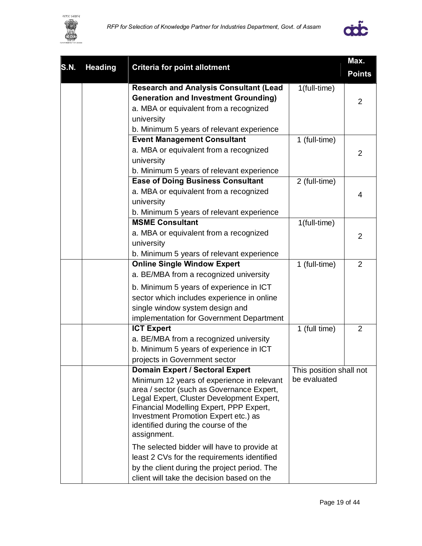



|             |                |                                                                             | Max.                    |                |
|-------------|----------------|-----------------------------------------------------------------------------|-------------------------|----------------|
| <b>S.N.</b> | <b>Heading</b> | <b>Criteria for point allotment</b>                                         |                         | <b>Points</b>  |
|             |                | <b>Research and Analysis Consultant (Lead</b>                               | 1(full-time)            |                |
|             |                | <b>Generation and Investment Grounding)</b>                                 |                         | 2              |
|             |                | a. MBA or equivalent from a recognized                                      |                         |                |
|             |                | university                                                                  |                         |                |
|             |                | b. Minimum 5 years of relevant experience                                   |                         |                |
|             |                | <b>Event Management Consultant</b>                                          | 1 (full-time)           |                |
|             |                | a. MBA or equivalent from a recognized                                      |                         | $\overline{2}$ |
|             |                | university                                                                  |                         |                |
|             |                | b. Minimum 5 years of relevant experience                                   |                         |                |
|             |                | <b>Ease of Doing Business Consultant</b>                                    | 2 (full-time)           |                |
|             |                | a. MBA or equivalent from a recognized                                      |                         | 4              |
|             |                | university                                                                  |                         |                |
|             |                | b. Minimum 5 years of relevant experience                                   |                         |                |
|             |                | <b>MSME Consultant</b>                                                      | 1(full-time)            |                |
|             |                | a. MBA or equivalent from a recognized                                      |                         | $\overline{2}$ |
|             |                | university                                                                  |                         |                |
|             |                | b. Minimum 5 years of relevant experience                                   |                         |                |
|             |                | <b>Online Single Window Expert</b>                                          | 1 (full-time)           | $\overline{2}$ |
|             |                | a. BE/MBA from a recognized university                                      |                         |                |
|             |                | b. Minimum 5 years of experience in ICT                                     |                         |                |
|             |                | sector which includes experience in online                                  |                         |                |
|             |                | single window system design and                                             |                         |                |
|             |                | implementation for Government Department                                    |                         |                |
|             |                | <b>ICT Expert</b>                                                           | 1 (full time)           | $\overline{2}$ |
|             |                | a. BE/MBA from a recognized university                                      |                         |                |
|             |                | b. Minimum 5 years of experience in ICT                                     |                         |                |
|             |                | projects in Government sector                                               |                         |                |
|             |                | <b>Domain Expert / Sectoral Expert</b>                                      | This position shall not |                |
|             |                | Minimum 12 years of experience in relevant                                  | be evaluated            |                |
|             |                | area / sector (such as Governance Expert,                                   |                         |                |
|             |                | Legal Expert, Cluster Development Expert,                                   |                         |                |
|             |                | Financial Modelling Expert, PPP Expert,                                     |                         |                |
|             |                | Investment Promotion Expert etc.) as<br>identified during the course of the |                         |                |
|             |                | assignment.                                                                 |                         |                |
|             |                | The selected bidder will have to provide at                                 |                         |                |
|             |                | least 2 CVs for the requirements identified                                 |                         |                |
|             |                | by the client during the project period. The                                |                         |                |
|             |                |                                                                             |                         |                |
|             |                | client will take the decision based on the                                  |                         |                |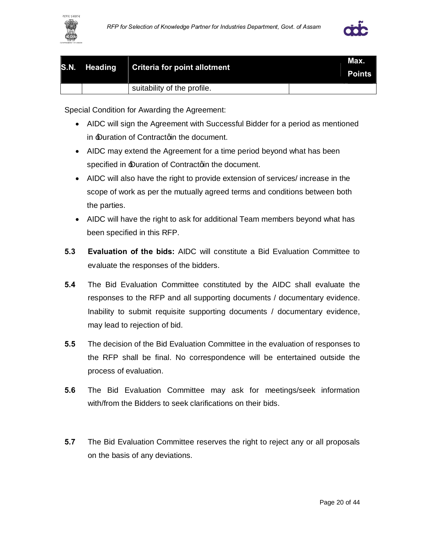



| S.N. Heading Criteria for point allotment |                             | Max.<br><b>Points</b> |
|-------------------------------------------|-----------------------------|-----------------------|
|                                           | suitability of the profile. |                       |

Special Condition for Awarding the Agreement:

- · AIDC will sign the Agreement with Successful Bidder for a period as mentioned in *Duration of Contractorin the document.*
- · AIDC may extend the Agreement for a time period beyond what has been specified in *Duration of Contractorn* the document.
- · AIDC will also have the right to provide extension of services/ increase in the scope of work as per the mutually agreed terms and conditions between both the parties.
- · AIDC will have the right to ask for additional Team members beyond what has been specified in this RFP.
- **5.3 Evaluation of the bids:** AIDC will constitute a Bid Evaluation Committee to evaluate the responses of the bidders.
- **5.4** The Bid Evaluation Committee constituted by the AIDC shall evaluate the responses to the RFP and all supporting documents / documentary evidence. Inability to submit requisite supporting documents / documentary evidence, may lead to rejection of bid.
- **5.5** The decision of the Bid Evaluation Committee in the evaluation of responses to the RFP shall be final. No correspondence will be entertained outside the process of evaluation.
- **5.6** The Bid Evaluation Committee may ask for meetings/seek information with/from the Bidders to seek clarifications on their bids.
- **5.7** The Bid Evaluation Committee reserves the right to reject any or all proposals on the basis of any deviations.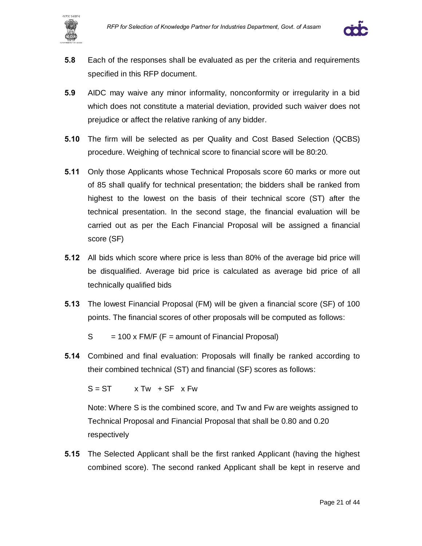



- **5.8** Each of the responses shall be evaluated as per the criteria and requirements specified in this RFP document.
- **5.9** AIDC may waive any minor informality, nonconformity or irregularity in a bid which does not constitute a material deviation, provided such waiver does not prejudice or affect the relative ranking of any bidder.
- **5.10** The firm will be selected as per Quality and Cost Based Selection (QCBS) procedure. Weighing of technical score to financial score will be 80:20.
- **5.11** Only those Applicants whose Technical Proposals score 60 marks or more out of 85 shall qualify for technical presentation; the bidders shall be ranked from highest to the lowest on the basis of their technical score (ST) after the technical presentation. In the second stage, the financial evaluation will be carried out as per the Each Financial Proposal will be assigned a financial score (SF)
- **5.12** All bids which score where price is less than 80% of the average bid price will be disqualified. Average bid price is calculated as average bid price of all technically qualified bids
- **5.13** The lowest Financial Proposal (FM) will be given a financial score (SF) of 100 points. The financial scores of other proposals will be computed as follows:

 $S = 100 \times F M/F$  (F = amount of Financial Proposal)

**5.14** Combined and final evaluation: Proposals will finally be ranked according to their combined technical (ST) and financial (SF) scores as follows:

 $S = ST$   $\times Tw$  + SF  $\times Fw$ 

Note: Where S is the combined score, and Tw and Fw are weights assigned to Technical Proposal and Financial Proposal that shall be 0.80 and 0.20 respectively

**5.15** The Selected Applicant shall be the first ranked Applicant (having the highest combined score). The second ranked Applicant shall be kept in reserve and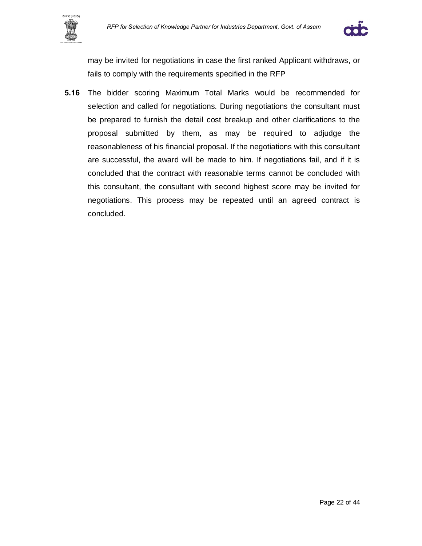



may be invited for negotiations in case the first ranked Applicant withdraws, or fails to comply with the requirements specified in the RFP

**5.16** The bidder scoring Maximum Total Marks would be recommended for selection and called for negotiations. During negotiations the consultant must be prepared to furnish the detail cost breakup and other clarifications to the proposal submitted by them, as may be required to adjudge the reasonableness of his financial proposal. If the negotiations with this consultant are successful, the award will be made to him. If negotiations fail, and if it is concluded that the contract with reasonable terms cannot be concluded with this consultant, the consultant with second highest score may be invited for negotiations. This process may be repeated until an agreed contract is concluded.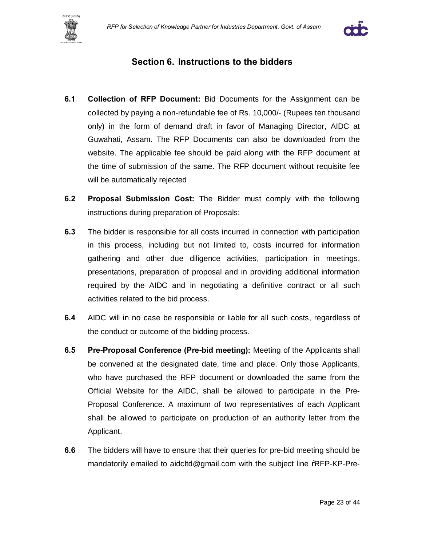



#### **Section 6. Instructions to the bidders**

- **6.1 Collection of RFP Document:** Bid Documents for the Assignment can be collected by paying a non-refundable fee of Rs. 10,000/- (Rupees ten thousand only) in the form of demand draft in favor of Managing Director, AIDC at Guwahati, Assam. The RFP Documents can also be downloaded from the website. The applicable fee should be paid along with the RFP document at the time of submission of the same. The RFP document without requisite fee will be automatically rejected
- **6.2 Proposal Submission Cost:** The Bidder must comply with the following instructions during preparation of Proposals:
- **6.3** The bidder is responsible for all costs incurred in connection with participation in this process, including but not limited to, costs incurred for information gathering and other due diligence activities, participation in meetings, presentations, preparation of proposal and in providing additional information required by the AIDC and in negotiating a definitive contract or all such activities related to the bid process.
- **6.4** AIDC will in no case be responsible or liable for all such costs, regardless of the conduct or outcome of the bidding process.
- **6.5 Pre-Proposal Conference (Pre-bid meeting):** Meeting of the Applicants shall be convened at the designated date, time and place. Only those Applicants, who have purchased the RFP document or downloaded the same from the Official Website for the AIDC, shall be allowed to participate in the Pre-Proposal Conference. A maximum of two representatives of each Applicant shall be allowed to participate on production of an authority letter from the Applicant.
- **6.6** The bidders will have to ensure that their queries for pre-bid meeting should be mandatorily emailed to aidcltd@gmail.com with the subject line %RFP-KP-Pre-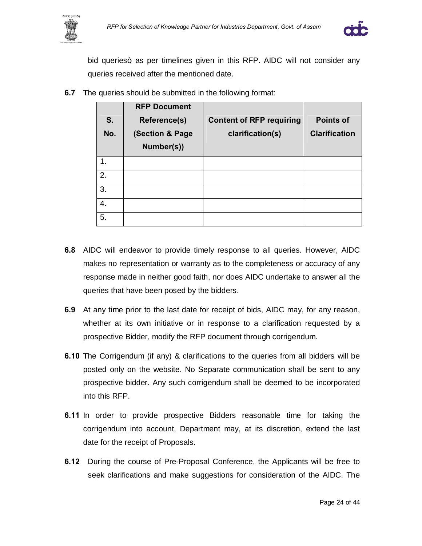



bid queries+, as per timelines given in this RFP. AIDC will not consider any queries received after the mentioned date.

| S.<br>No. | <b>RFP Document</b><br><b>Reference(s)</b><br>(Section & Page<br>Number(s)) | <b>Content of RFP requiring</b><br>clarification(s) | <b>Points of</b><br><b>Clarification</b> |
|-----------|-----------------------------------------------------------------------------|-----------------------------------------------------|------------------------------------------|
| 1.        |                                                                             |                                                     |                                          |
| 2.        |                                                                             |                                                     |                                          |
| 3.        |                                                                             |                                                     |                                          |
| 4.        |                                                                             |                                                     |                                          |
| 5.        |                                                                             |                                                     |                                          |

**6.7** The queries should be submitted in the following format:

- **6.8** AIDC will endeavor to provide timely response to all queries. However, AIDC makes no representation or warranty as to the completeness or accuracy of any response made in neither good faith, nor does AIDC undertake to answer all the queries that have been posed by the bidders.
- **6.9** At any time prior to the last date for receipt of bids, AIDC may, for any reason, whether at its own initiative or in response to a clarification requested by a prospective Bidder, modify the RFP document through corrigendum.
- **6.10** The Corrigendum (if any) & clarifications to the queries from all bidders will be posted only on the website. No Separate communication shall be sent to any prospective bidder. Any such corrigendum shall be deemed to be incorporated into this RFP.
- **6.11** In order to provide prospective Bidders reasonable time for taking the corrigendum into account, Department may, at its discretion, extend the last date for the receipt of Proposals.
- **6.12** During the course of Pre-Proposal Conference, the Applicants will be free to seek clarifications and make suggestions for consideration of the AIDC. The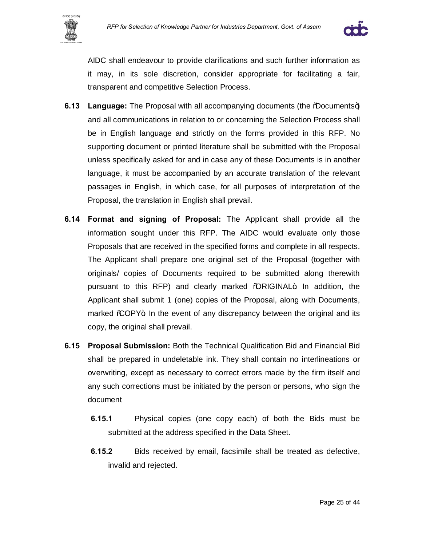



AIDC shall endeavour to provide clarifications and such further information as it may, in its sole discretion, consider appropriate for facilitating a fair, transparent and competitive Selection Process.

- **6.13 Language:** The Proposal with all accompanying documents (the **Documents+)** and all communications in relation to or concerning the Selection Process shall be in English language and strictly on the forms provided in this RFP. No supporting document or printed literature shall be submitted with the Proposal unless specifically asked for and in case any of these Documents is in another language, it must be accompanied by an accurate translation of the relevant passages in English, in which case, for all purposes of interpretation of the Proposal, the translation in English shall prevail.
- **6.14 Format and signing of Proposal:** The Applicant shall provide all the information sought under this RFP. The AIDC would evaluate only those Proposals that are received in the specified forms and complete in all respects. The Applicant shall prepare one original set of the Proposal (together with originals/ copies of Documents required to be submitted along therewith pursuant to this RFP) and clearly marked %QRIGINAL+. In addition, the Applicant shall submit 1 (one) copies of the Proposal, along with Documents, marked %COPY+. In the event of any discrepancy between the original and its copy, the original shall prevail.
- **6.15 Proposal Submission:** Both the Technical Qualification Bid and Financial Bid shall be prepared in undeletable ink. They shall contain no interlineations or overwriting, except as necessary to correct errors made by the firm itself and any such corrections must be initiated by the person or persons, who sign the document
	- **6.15.1** Physical copies (one copy each) of both the Bids must be submitted at the address specified in the Data Sheet.
	- **6.15.2** Bids received by email, facsimile shall be treated as defective, invalid and rejected.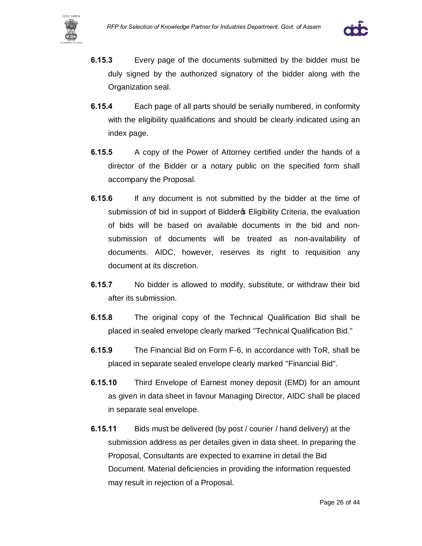



- **6.15.3** Every page of the documents submitted by the bidder must be duly signed by the authorized signatory of the bidder along with the Organization seal.
- **6.15.4** Each page of all parts should be serially numbered, in conformity with the eligibility qualifications and should be clearly indicated using an index page.
- **6.15.5** A copy of the Power of Attorney certified under the hands of a director of the Bidder or a notary public on the specified form shall accompany the Proposal.
- **6.15.6** If any document is not submitted by the bidder at the time of submission of bid in support of Bidder & Eligibility Criteria, the evaluation of bids will be based on available documents in the bid and nonsubmission of documents will be treated as non-availability of documents. AIDC, however, reserves its right to requisition any document at its discretion.
- **6.15.7** No bidder is allowed to modify, substitute, or withdraw their bid after its submission.
- **6.15.8** The original copy of the Technical Qualification Bid shall be placed in sealed envelope clearly marked ''Technical Qualification Bid.''
- **6.15.9** The Financial Bid on Form F-6, in accordance with ToR, shall be placed in separate sealed envelope clearly marked ''Financial Bid''.
- **6.15.10** Third Envelope of Earnest money deposit (EMD) for an amount as given in data sheet in favour Managing Director, AIDC shall be placed in separate seal envelope.
- **6.15.11** Bids must be delivered (by post / courier / hand delivery) at the submission address as per detailes given in data sheet. In preparing the Proposal, Consultants are expected to examine in detail the Bid Document. Material deficiencies in providing the information requested may result in rejection of a Proposal.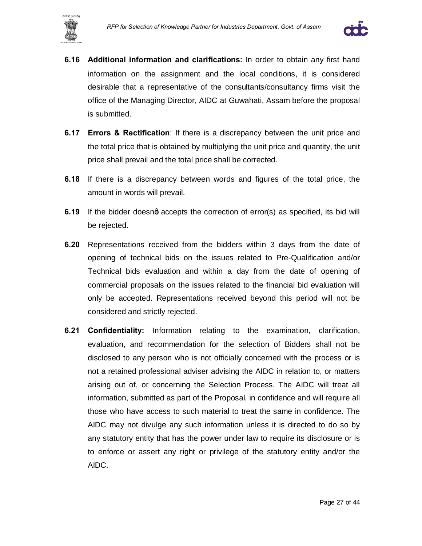



- **6.16 Additional information and clarifications:** In order to obtain any first hand information on the assignment and the local conditions, it is considered desirable that a representative of the consultants/consultancy firms visit the office of the Managing Director, AIDC at Guwahati, Assam before the proposal is submitted.
- **6.17 Errors & Rectification**: If there is a discrepancy between the unit price and the total price that is obtained by multiplying the unit price and quantity, the unit price shall prevail and the total price shall be corrected.
- **6.18** If there is a discrepancy between words and figures of the total price, the amount in words will prevail.
- **6.19** If the bidder doesnd accepts the correction of error(s) as specified, its bid will be rejected.
- **6.20** Representations received from the bidders within 3 days from the date of opening of technical bids on the issues related to Pre-Qualification and/or Technical bids evaluation and within a day from the date of opening of commercial proposals on the issues related to the financial bid evaluation will only be accepted. Representations received beyond this period will not be considered and strictly rejected.
- **6.21 Confidentiality:** Information relating to the examination, clarification, evaluation, and recommendation for the selection of Bidders shall not be disclosed to any person who is not officially concerned with the process or is not a retained professional adviser advising the AIDC in relation to, or matters arising out of, or concerning the Selection Process. The AIDC will treat all information, submitted as part of the Proposal, in confidence and will require all those who have access to such material to treat the same in confidence. The AIDC may not divulge any such information unless it is directed to do so by any statutory entity that has the power under law to require its disclosure or is to enforce or assert any right or privilege of the statutory entity and/or the AIDC.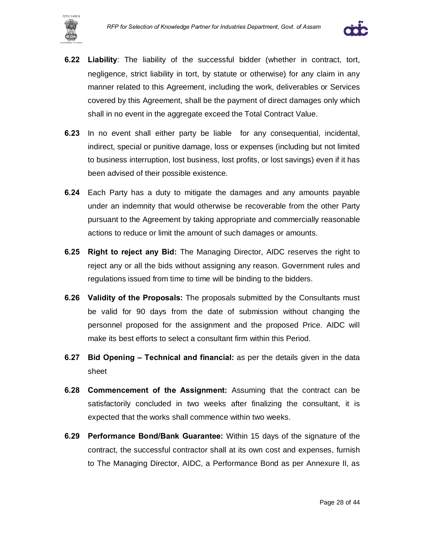



- **6.22 Liability**: The liability of the successful bidder (whether in contract, tort, negligence, strict liability in tort, by statute or otherwise) for any claim in any manner related to this Agreement, including the work, deliverables or Services covered by this Agreement, shall be the payment of direct damages only which shall in no event in the aggregate exceed the Total Contract Value.
- **6.23** In no event shall either party be liable for any consequential, incidental, indirect, special or punitive damage, loss or expenses (including but not limited to business interruption, lost business, lost profits, or lost savings) even if it has been advised of their possible existence.
- **6.24** Each Party has a duty to mitigate the damages and any amounts payable under an indemnity that would otherwise be recoverable from the other Party pursuant to the Agreement by taking appropriate and commercially reasonable actions to reduce or limit the amount of such damages or amounts.
- **6.25 Right to reject any Bid:** The Managing Director, AIDC reserves the right to reject any or all the bids without assigning any reason. Government rules and regulations issued from time to time will be binding to the bidders.
- **6.26 Validity of the Proposals:** The proposals submitted by the Consultants must be valid for 90 days from the date of submission without changing the personnel proposed for the assignment and the proposed Price. AIDC will make its best efforts to select a consultant firm within this Period.
- **6.27 Bid Opening – Technical and financial:** as per the details given in the data sheet
- **6.28 Commencement of the Assignment:** Assuming that the contract can be satisfactorily concluded in two weeks after finalizing the consultant, it is expected that the works shall commence within two weeks.
- **6.29 Performance Bond/Bank Guarantee:** Within 15 days of the signature of the contract, the successful contractor shall at its own cost and expenses, furnish to The Managing Director, AIDC, a Performance Bond as per Annexure II, as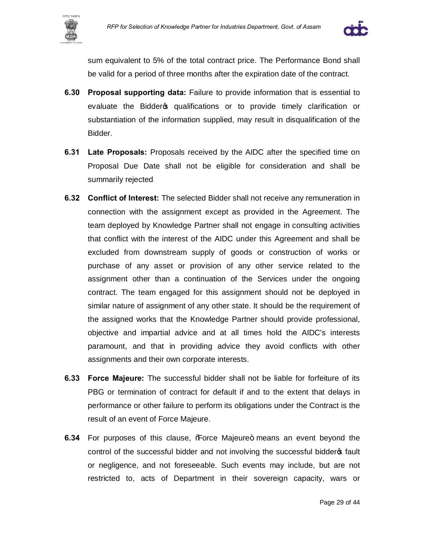



sum equivalent to 5% of the total contract price. The Performance Bond shall be valid for a period of three months after the expiration date of the contract.

- **6.30 Proposal supporting data:** Failure to provide information that is essential to evaluate the Bidder opualifications or to provide timely clarification or substantiation of the information supplied, may result in disqualification of the Bidder.
- **6.31 Late Proposals:** Proposals received by the AIDC after the specified time on Proposal Due Date shall not be eligible for consideration and shall be summarily rejected
- **6.32 Conflict of Interest:** The selected Bidder shall not receive any remuneration in connection with the assignment except as provided in the Agreement. The team deployed by Knowledge Partner shall not engage in consulting activities that conflict with the interest of the AIDC under this Agreement and shall be excluded from downstream supply of goods or construction of works or purchase of any asset or provision of any other service related to the assignment other than a continuation of the Services under the ongoing contract. The team engaged for this assignment should not be deployed in similar nature of assignment of any other state. It should be the requirement of the assigned works that the Knowledge Partner should provide professional, objective and impartial advice and at all times hold the AIDC's interests paramount, and that in providing advice they avoid conflicts with other assignments and their own corporate interests.
- **6.33 Force Majeure:** The successful bidder shall not be liable for forfeiture of its PBG or termination of contract for default if and to the extent that delays in performance or other failure to perform its obligations under the Contract is the result of an event of Force Majeure.
- **6.34** For purposes of this clause, **Force Majeure+ means an event beyond the** control of the successful bidder and not involving the successful bidder of fault or negligence, and not foreseeable. Such events may include, but are not restricted to, acts of Department in their sovereign capacity, wars or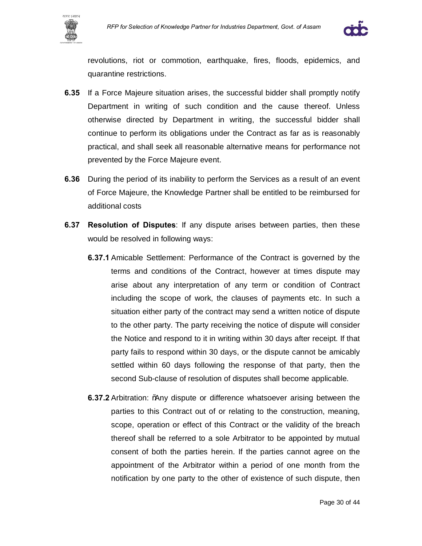



revolutions, riot or commotion, earthquake, fires, floods, epidemics, and quarantine restrictions.

- **6.35** If a Force Majeure situation arises, the successful bidder shall promptly notify Department in writing of such condition and the cause thereof. Unless otherwise directed by Department in writing, the successful bidder shall continue to perform its obligations under the Contract as far as is reasonably practical, and shall seek all reasonable alternative means for performance not prevented by the Force Majeure event.
- **6.36** During the period of its inability to perform the Services as a result of an event of Force Majeure, the Knowledge Partner shall be entitled to be reimbursed for additional costs
- **6.37 Resolution of Disputes**: If any dispute arises between parties, then these would be resolved in following ways:
	- **6.37.1** Amicable Settlement: Performance of the Contract is governed by the terms and conditions of the Contract, however at times dispute may arise about any interpretation of any term or condition of Contract including the scope of work, the clauses of payments etc. In such a situation either party of the contract may send a written notice of dispute to the other party. The party receiving the notice of dispute will consider the Notice and respond to it in writing within 30 days after receipt. If that party fails to respond within 30 days, or the dispute cannot be amicably settled within 60 days following the response of that party, then the second Sub-clause of resolution of disputes shall become applicable.
	- **6.37.2** Arbitration: % any dispute or difference whatsoever arising between the parties to this Contract out of or relating to the construction, meaning, scope, operation or effect of this Contract or the validity of the breach thereof shall be referred to a sole Arbitrator to be appointed by mutual consent of both the parties herein. If the parties cannot agree on the appointment of the Arbitrator within a period of one month from the notification by one party to the other of existence of such dispute, then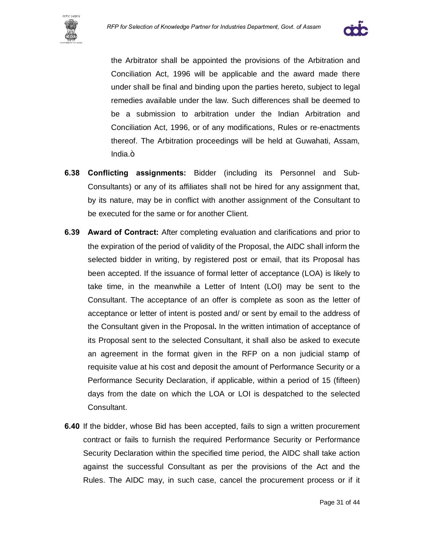



the Arbitrator shall be appointed the provisions of the Arbitration and Conciliation Act, 1996 will be applicable and the award made there under shall be final and binding upon the parties hereto, subject to legal remedies available under the law. Such differences shall be deemed to be a submission to arbitration under the Indian Arbitration and Conciliation Act, 1996, or of any modifications, Rules or re-enactments thereof. The Arbitration proceedings will be held at Guwahati, Assam, lndia.+

- **6.38 Conflicting assignments:** Bidder (including its Personnel and Sub-Consultants) or any of its affiliates shall not be hired for any assignment that, by its nature, may be in conflict with another assignment of the Consultant to be executed for the same or for another Client.
- **6.39 Award of Contract:** After completing evaluation and clarifications and prior to the expiration of the period of validity of the Proposal, the AIDC shall inform the selected bidder in writing, by registered post or email, that its Proposal has been accepted. If the issuance of formal letter of acceptance (LOA) is likely to take time, in the meanwhile a Letter of Intent (LOI) may be sent to the Consultant. The acceptance of an offer is complete as soon as the letter of acceptance or letter of intent is posted and/ or sent by email to the address of the Consultant given in the Proposal**.** In the written intimation of acceptance of its Proposal sent to the selected Consultant, it shall also be asked to execute an agreement in the format given in the RFP on a non judicial stamp of requisite value at his cost and deposit the amount of Performance Security or a Performance Security Declaration, if applicable, within a period of 15 (fifteen) days from the date on which the LOA or LOI is despatched to the selected Consultant.
- **6.40** If the bidder, whose Bid has been accepted, fails to sign a written procurement contract or fails to furnish the required Performance Security or Performance Security Declaration within the specified time period, the AIDC shall take action against the successful Consultant as per the provisions of the Act and the Rules. The AIDC may, in such case, cancel the procurement process or if it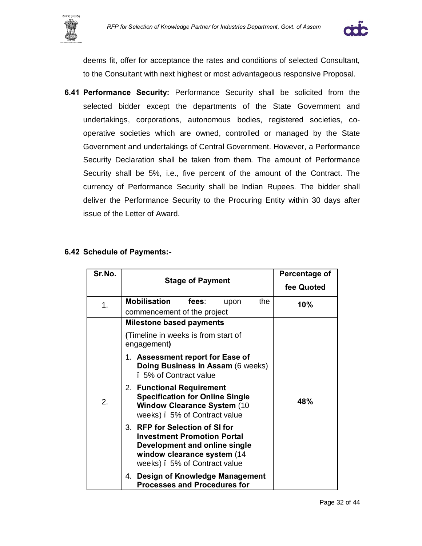



deems fit, offer for acceptance the rates and conditions of selected Consultant, to the Consultant with next highest or most advantageous responsive Proposal.

**6.41 Performance Security:** Performance Security shall be solicited from the selected bidder except the departments of the State Government and undertakings, corporations, autonomous bodies, registered societies, cooperative societies which are owned, controlled or managed by the State Government and undertakings of Central Government. However, a Performance Security Declaration shall be taken from them. The amount of Performance Security shall be 5%, i.e., five percent of the amount of the Contract. The currency of Performance Security shall be Indian Rupees. The bidder shall deliver the Performance Security to the Procuring Entity within 30 days after issue of the Letter of Award.

#### **6.42 Schedule of Payments:-**

| Sr.No. | <b>Stage of Payment</b>                                                                                                                                              | Percentage of<br>fee Quoted |
|--------|----------------------------------------------------------------------------------------------------------------------------------------------------------------------|-----------------------------|
| 1.     | <b>Mobilisation</b><br>fees:<br>the<br>upon<br>commencement of the project                                                                                           | 10%                         |
|        | <b>Milestone based payments</b>                                                                                                                                      |                             |
|        | (Timeline in weeks is from start of<br>engagement)                                                                                                                   |                             |
|        | 1. Assessment report for Ease of<br>Doing Business in Assam (6 weeks)<br>. 5% of Contract value                                                                      |                             |
| 2.     | 2. Functional Requirement<br><b>Specification for Online Single</b><br><b>Window Clearance System (10)</b><br>weeks). 5% of Contract value                           | 48%                         |
|        | 3. RFP for Selection of SI for<br><b>Investment Promotion Portal</b><br>Development and online single<br>window clearance system (14<br>weeks). 5% of Contract value |                             |
|        | Design of Knowledge Management<br>4.<br><b>Processes and Procedures for</b>                                                                                          |                             |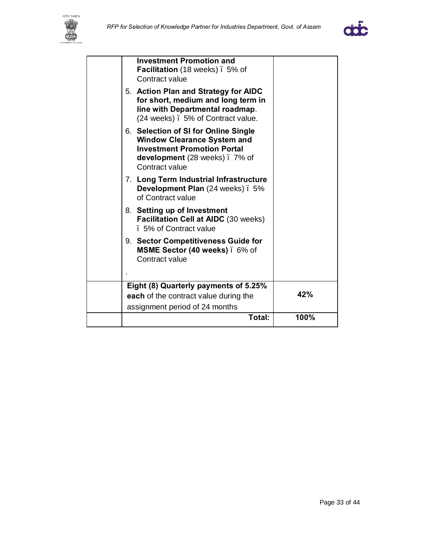



| <b>Investment Promotion and</b><br>Facilitation (18 weeks). 5% of<br>Contract value                                                                                 |      |
|---------------------------------------------------------------------------------------------------------------------------------------------------------------------|------|
| 5. Action Plan and Strategy for AIDC<br>for short, medium and long term in<br>line with Departmental roadmap.<br>(24 weeks). 5% of Contract value.                  |      |
| 6. Selection of SI for Online Single<br><b>Window Clearance System and</b><br><b>Investment Promotion Portal</b><br>development (28 weeks). 7% of<br>Contract value |      |
| 7. Long Term Industrial Infrastructure<br>Development Plan (24 weeks). 5%<br>of Contract value                                                                      |      |
| 8. Setting up of Investment<br><b>Facilitation Cell at AIDC (30 weeks)</b><br>. 5% of Contract value                                                                |      |
| 9. Sector Competitiveness Guide for<br>MSME Sector (40 weeks). 6% of<br>Contract value                                                                              |      |
|                                                                                                                                                                     |      |
| Eight (8) Quarterly payments of 5.25%                                                                                                                               |      |
| each of the contract value during the                                                                                                                               | 42%  |
| assignment period of 24 months                                                                                                                                      |      |
| Total:                                                                                                                                                              | 100% |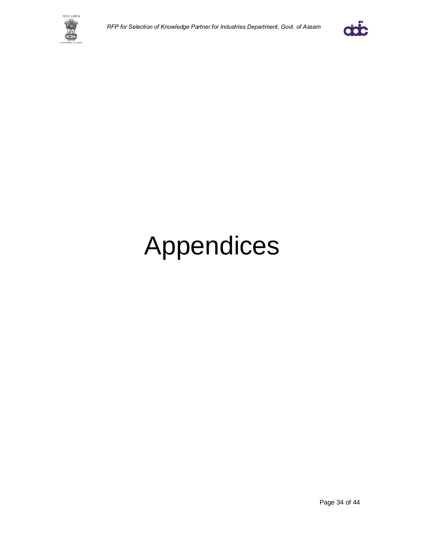



# Appendices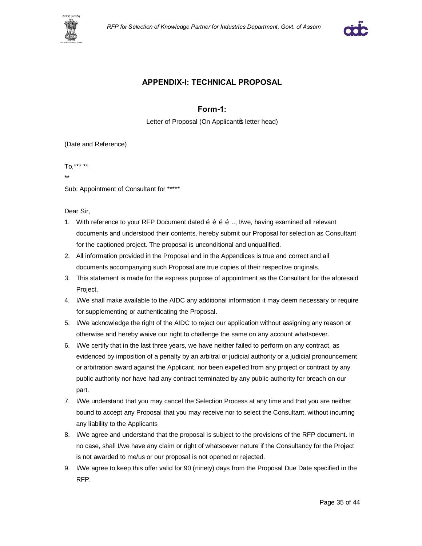



#### **APPENDIX-I: TECHNICAL PROPOSAL**

#### **Form-1:**

Letter of Proposal (On Applicantop letter head)

(Date and Reference)

To,\*\*\* \*\*

\*\*

Sub: Appointment of Consultant for \*\*\*\*\*

Dear Sir,

- 1. With reference to your RFP Document dated  $\delta$   $\delta$   $\delta$   $\delta$   $\delta$ ..., I/we, having examined all relevant documents and understood their contents, hereby submit our Proposal for selection as Consultant for the captioned project. The proposal is unconditional and unqualified.
- 2. All information provided in the Proposal and in the Appendices is true and correct and all documents accompanying such Proposal are true copies of their respective originals.
- 3. This statement is made for the express purpose of appointment as the Consultant for the aforesaid Project.
- 4. I/We shall make available to the AIDC any additional information it may deem necessary or require for supplementing or authenticating the Proposal.
- 5. I/We acknowledge the right of the AIDC to reject our application without assigning any reason or otherwise and hereby waive our right to challenge the same on any account whatsoever.
- 6. I/We certify that in the last three years, we have neither failed to perform on any contract, as evidenced by imposition of a penalty by an arbitral or judicial authority or a judicial pronouncement or arbitration award against the Applicant, nor been expelled from any project or contract by any public authority nor have had any contract terminated by any public authority for breach on our part.
- 7. I/We understand that you may cancel the Selection Process at any time and that you are neither bound to accept any Proposal that you may receive nor to select the Consultant, without incurring any liability to the Applicants
- 8. I/We agree and understand that the proposal is subject to the provisions of the RFP document. In no case, shall I/we have any claim or right of whatsoever nature if the Consultancy for the Project is not awarded to me/us or our proposal is not opened or rejected.
- 9. I/We agree to keep this offer valid for 90 (ninety) days from the Proposal Due Date specified in the RFP.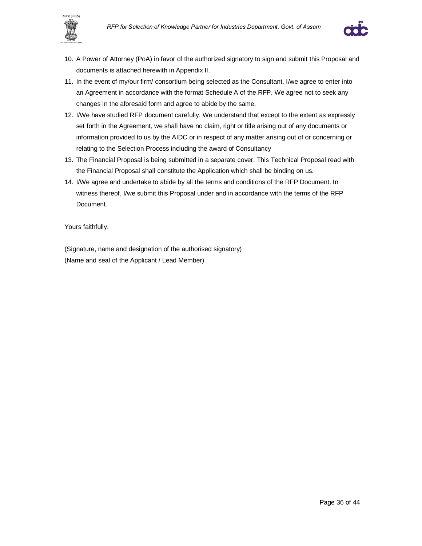



- 10. A Power of Attorney (PoA) in favor of the authorized signatory to sign and submit this Proposal and documents is attached herewith in Appendix II.
- 11. In the event of my/our firm/ consortium being selected as the Consultant, I/we agree to enter into an Agreement in accordance with the format Schedule A of the RFP. We agree not to seek any changes in the aforesaid form and agree to abide by the same.
- 12. I/We have studied RFP document carefully. We understand that except to the extent as expressly set forth in the Agreement, we shall have no claim, right or title arising out of any documents or information provided to us by the AIDC or in respect of any matter arising out of or concerning or relating to the Selection Process including the award of Consultancy
- 13. The Financial Proposal is being submitted in a separate cover. This Technical Proposal read with the Financial Proposal shall constitute the Application which shall be binding on us.
- 14. I/We agree and undertake to abide by all the terms and conditions of the RFP Document. In witness thereof, I/we submit this Proposal under and in accordance with the terms of the RFP Document.

Yours faithfully,

(Signature, name and designation of the authorised signatory) (Name and seal of the Applicant / Lead Member)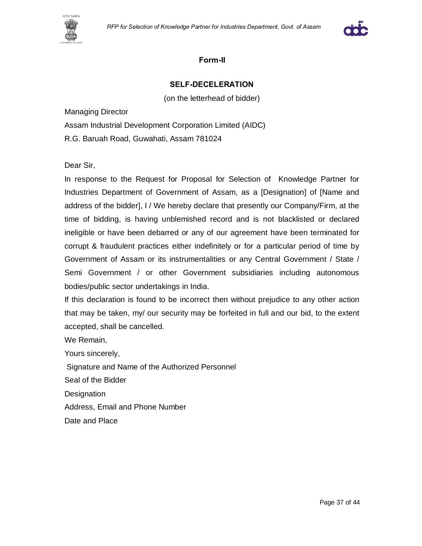



#### **Form-II**

#### **SELF-DECELERATION**

(on the letterhead of bidder)

Managing Director

Assam Industrial Development Corporation Limited (AIDC)

R.G. Baruah Road, Guwahati, Assam 781024

Dear Sir,

In response to the Request for Proposal for Selection of Knowledge Partner for Industries Department of Government of Assam, as a [Designation] of [Name and address of the bidder], I / We hereby declare that presently our Company/Firm, at the time of bidding, is having unblemished record and is not blacklisted or declared ineligible or have been debarred or any of our agreement have been terminated for corrupt & fraudulent practices either indefinitely or for a particular period of time by Government of Assam or its instrumentalities or any Central Government / State / Semi Government / or other Government subsidiaries including autonomous bodies/public sector undertakings in India.

If this declaration is found to be incorrect then without prejudice to any other action that may be taken, my/ our security may be forfeited in full and our bid, to the extent accepted, shall be cancelled.

We Remain,

Yours sincerely,

Signature and Name of the Authorized Personnel

Seal of the Bidder

**Designation** 

Address, Email and Phone Number

Date and Place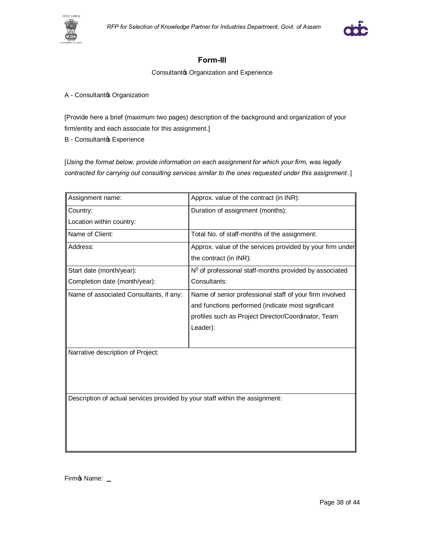



#### **Form-III**

Consultantos Organization and Experience

#### A - Consultantos Organization

[Provide here a brief (maximum two pages) description of the background and organization of your firm/entity and each associate for this assignment.]

B - Consultantos Experience

[*Using the format below, provide information on each assignment for which your firm, was legally contracted for carrying out consulting services similar to the ones requested under this assignment..*]

| Assignment name:                                                             | Approx. value of the contract (in INR):                   |
|------------------------------------------------------------------------------|-----------------------------------------------------------|
| Country:                                                                     | Duration of assignment (months):                          |
| Location within country:                                                     |                                                           |
| Name of Client:                                                              | Total No. of staff-months of the assignment:              |
| Address:                                                                     | Approx. value of the services provided by your firm under |
|                                                                              | the contract (in INR):                                    |
| Start date (month/year):                                                     | $N°$ of professional staff-months provided by associated  |
| Completion date (month/year):                                                | Consultants:                                              |
| Name of associated Consultants, if any:                                      | Name of senior professional staff of your firm involved   |
|                                                                              | and functions performed (indicate most significant        |
|                                                                              | profiles such as Project Director/Coordinator, Team       |
|                                                                              | Leader):                                                  |
|                                                                              |                                                           |
| Narrative description of Project:                                            |                                                           |
|                                                                              |                                                           |
|                                                                              |                                                           |
|                                                                              |                                                           |
| Description of actual services provided by your staff within the assignment: |                                                           |
|                                                                              |                                                           |
|                                                                              |                                                           |
|                                                                              |                                                           |
|                                                                              |                                                           |

Firmos Name: \_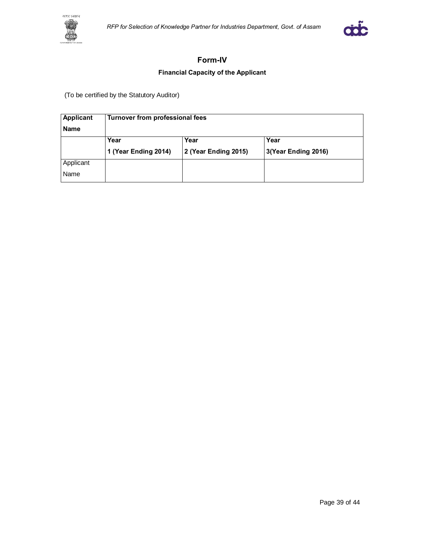



#### **Form-IV**

#### **Financial Capacity of the Applicant**

(To be certified by the Statutory Auditor)

| Applicant   | Turnover from professional fees |                      |                     |
|-------------|---------------------------------|----------------------|---------------------|
| <b>Name</b> |                                 |                      |                     |
|             | Year                            | Year                 | Year                |
|             | 1 (Year Ending 2014)            | 2 (Year Ending 2015) | 3(Year Ending 2016) |
| Applicant   |                                 |                      |                     |
| Name        |                                 |                      |                     |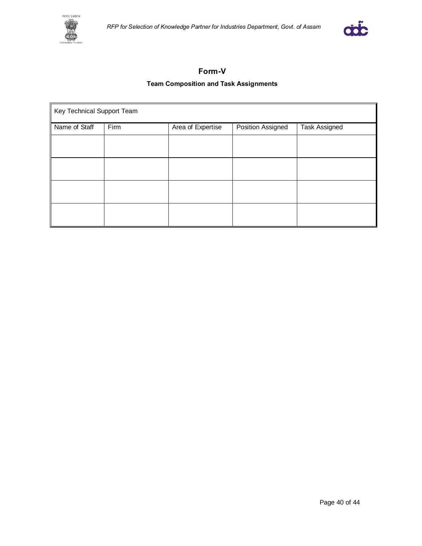



#### **Form-V**

#### **Team Composition and Task Assignments**

| Key Technical Support Team |      |                   |                   |                      |
|----------------------------|------|-------------------|-------------------|----------------------|
| Name of Staff              | Firm | Area of Expertise | Position Assigned | <b>Task Assigned</b> |
|                            |      |                   |                   |                      |
|                            |      |                   |                   |                      |
|                            |      |                   |                   |                      |
|                            |      |                   |                   |                      |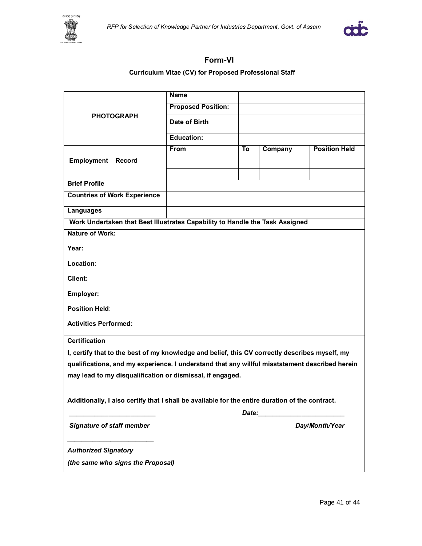



### **Form-VI**

#### **Curriculum Vitae (CV) for Proposed Professional Staff**

|                                                                                                 | <b>Name</b>               |    |                                                                                                                                                                                                                                |                      |
|-------------------------------------------------------------------------------------------------|---------------------------|----|--------------------------------------------------------------------------------------------------------------------------------------------------------------------------------------------------------------------------------|----------------------|
|                                                                                                 | <b>Proposed Position:</b> |    |                                                                                                                                                                                                                                |                      |
| <b>PHOTOGRAPH</b>                                                                               | Date of Birth             |    |                                                                                                                                                                                                                                |                      |
|                                                                                                 | <b>Education:</b>         |    |                                                                                                                                                                                                                                |                      |
|                                                                                                 | From                      | To | Company                                                                                                                                                                                                                        | <b>Position Held</b> |
| <b>Employment Record</b>                                                                        |                           |    |                                                                                                                                                                                                                                |                      |
|                                                                                                 |                           |    |                                                                                                                                                                                                                                |                      |
| <b>Brief Profile</b>                                                                            |                           |    |                                                                                                                                                                                                                                |                      |
| <b>Countries of Work Experience</b>                                                             |                           |    |                                                                                                                                                                                                                                |                      |
| <b>Languages</b>                                                                                |                           |    |                                                                                                                                                                                                                                |                      |
| Work Undertaken that Best Illustrates Capability to Handle the Task Assigned                    |                           |    |                                                                                                                                                                                                                                |                      |
| <b>Nature of Work:</b>                                                                          |                           |    |                                                                                                                                                                                                                                |                      |
| Year:                                                                                           |                           |    |                                                                                                                                                                                                                                |                      |
| Location:                                                                                       |                           |    |                                                                                                                                                                                                                                |                      |
| Client:                                                                                         |                           |    |                                                                                                                                                                                                                                |                      |
| Employer:                                                                                       |                           |    |                                                                                                                                                                                                                                |                      |
| <b>Position Held:</b>                                                                           |                           |    |                                                                                                                                                                                                                                |                      |
| <b>Activities Performed:</b>                                                                    |                           |    |                                                                                                                                                                                                                                |                      |
| <b>Certification</b>                                                                            |                           |    |                                                                                                                                                                                                                                |                      |
| I, certify that to the best of my knowledge and belief, this CV correctly describes myself, my  |                           |    |                                                                                                                                                                                                                                |                      |
| qualifications, and my experience. I understand that any willful misstatement described herein  |                           |    |                                                                                                                                                                                                                                |                      |
| may lead to my disqualification or dismissal, if engaged.                                       |                           |    |                                                                                                                                                                                                                                |                      |
| Additionally, I also certify that I shall be available for the entire duration of the contract. |                           |    |                                                                                                                                                                                                                                |                      |
|                                                                                                 |                           |    | Date: the contract of the contract of the contract of the contract of the contract of the contract of the contract of the contract of the contract of the contract of the contract of the contract of the contract of the cont |                      |
| <b>Signature of staff member</b>                                                                |                           |    |                                                                                                                                                                                                                                | Day/Month/Year       |
| <b>Authorized Signatory</b>                                                                     |                           |    |                                                                                                                                                                                                                                |                      |
| (the same who signs the Proposal)                                                               |                           |    |                                                                                                                                                                                                                                |                      |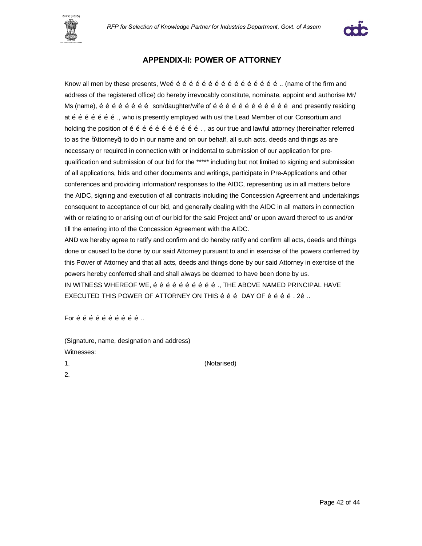



#### **APPENDIX-II: POWER OF ATTORNEY**

Know all men by these presents, We…………………………………………….. (name of the firm and address of the registered office) do hereby irrevocably constitute, nominate, appoint and authorise Mr/ Ms (name),  $\tilde{o}$   $\tilde{o}$   $\tilde{o}$   $\tilde{o}$   $\tilde{o}$   $\tilde{o}$  son/daughter/wife of  $\tilde{o}$   $\tilde{o}$   $\tilde{o}$   $\tilde{o}$   $\tilde{o}$   $\tilde{o}$   $\tilde{o}$   $\tilde{o}$  and presently residing at  $\tilde{\sigma}$   $\tilde{\sigma}$   $\tilde{\sigma}$   $\tilde{\sigma}$   $\tilde{\sigma}$   $\tilde{\sigma}$ , who is presently employed with us/ the Lead Member of our Consortium and holding the position of  $\overline{6}$   $\overline{6}$   $\overline{6}$   $\overline{6}$   $\overline{6}$   $\overline{6}$   $\overline{6}$   $\overline{6}$   $\overline{6}$   $\overline{6}$   $\overline{6}$   $\overline{6}$   $\overline{6}$   $\overline{6}$   $\overline{6}$   $\overline{6}$   $\overline{6}$   $\overline{6}$   $\overline{6}$   $\overline{6}$   $\overline{6}$   $\overline{6}$ to as the "Attorney+) to do in our name and on our behalf, all such acts, deeds and things as are necessary or required in connection with or incidental to submission of our application for prequalification and submission of our bid for the \*\*\*\*\* including but not limited to signing and submission of all applications, bids and other documents and writings, participate in Pre-Applications and other conferences and providing information/ responses to the AIDC, representing us in all matters before the AIDC, signing and execution of all contracts including the Concession Agreement and undertakings consequent to acceptance of our bid, and generally dealing with the AIDC in all matters in connection with or relating to or arising out of our bid for the said Project and/ or upon award thereof to us and/or till the entering into of the Concession Agreement with the AIDC.

AND we hereby agree to ratify and confirm and do hereby ratify and confirm all acts, deeds and things done or caused to be done by our said Attorney pursuant to and in exercise of the powers conferred by this Power of Attorney and that all acts, deeds and things done by our said Attorney in exercise of the powers hereby conferred shall and shall always be deemed to have been done by us. IN WITNESS WHEREOF WE,  $\tilde{o}$   $\tilde{o}$   $\tilde{o}$   $\tilde{o}$   $\tilde{o}$   $\tilde{o}$   $\tilde{o}$   $\tilde{o}$   $\tilde{o}$   $\tilde{o}$   $\tilde{o}$   $\tilde{o}$   $\tilde{o}$   $\tilde{o}$   $\tilde{o}$   $\tilde{o}$   $\tilde{o}$   $\tilde{o}$   $\tilde{o}$   $\tilde{o}$   $\tilde{o}$   $\tilde{o}$   $\tilde{o}$   $\tilde{o}$   $\tilde{o}$ EXECUTED THIS POWER OF ATTORNEY ON THIS õ õ õ DAY OF õ õ õ õ . 2õ ...

For  $\tilde{o}$   $\tilde{o}$   $\tilde{o}$   $\tilde{o}$   $\tilde{o}$   $\tilde{o}$   $\tilde{o}$   $\tilde{o}$   $\ldots$ 

(Signature, name, designation and address) Witnesses:

1. (Notarised)

2.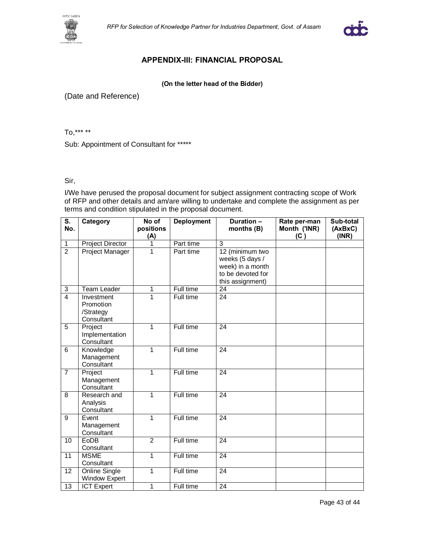



#### **APPENDIX-III: FINANCIAL PROPOSAL**

#### **(On the letter head of the Bidder)**

(Date and Reference)

To,\*\*\* \*\*

Sub: Appointment of Consultant for \*\*\*\*\*

#### Sir,

I/We have perused the proposal document for subject assignment contracting scope of Work of RFP and other details and am/are willing to undertake and complete the assignment as per terms and condition stipulated in the proposal document.

| $\overline{\mathsf{s}}$ .<br>No. | Category                                           | No of<br>positions<br>(A) | Deployment | Duration -<br>months (B)                                                                        | Rate per-man<br>Month ('INR)<br>(C) | Sub-total<br>(AxBxC)<br>(INR) |
|----------------------------------|----------------------------------------------------|---------------------------|------------|-------------------------------------------------------------------------------------------------|-------------------------------------|-------------------------------|
| $\overline{1}$                   | <b>Project Director</b>                            | 1                         | Part time  | $\overline{3}$                                                                                  |                                     |                               |
| $\overline{2}$                   | Project Manager                                    | 1                         | Part time  | 12 (minimum two<br>weeks (5 days /<br>week) in a month<br>to be devoted for<br>this assignment) |                                     |                               |
| 3                                | <b>Team Leader</b>                                 | 1                         | Full time  | $\overline{24}$                                                                                 |                                     |                               |
| $\overline{4}$                   | Investment<br>Promotion<br>/Strategy<br>Consultant | 1                         | Full time  | $\overline{24}$                                                                                 |                                     |                               |
| $\overline{5}$                   | Project<br>Implementation<br>Consultant            | 1                         | Full time  | 24                                                                                              |                                     |                               |
| 6                                | Knowledge<br>Management<br>Consultant              | 1                         | Full time  | 24                                                                                              |                                     |                               |
| $\overline{7}$                   | Project<br>Management<br>Consultant                | 1                         | Full time  | 24                                                                                              |                                     |                               |
| 8                                | Research and<br>Analysis<br>Consultant             | 1                         | Full time  | 24                                                                                              |                                     |                               |
| $\overline{9}$                   | Event<br>Management<br>Consultant                  | 1                         | Full time  | 24                                                                                              |                                     |                               |
| 10                               | EoDB<br>Consultant                                 | $\overline{2}$            | Full time  | 24                                                                                              |                                     |                               |
| 11                               | <b>MSME</b><br>Consultant                          | 1                         | Full time  | 24                                                                                              |                                     |                               |
| 12                               | <b>Online Single</b><br><b>Window Expert</b>       | 1                         | Full time  | 24                                                                                              |                                     |                               |
| 13                               | <b>ICT Expert</b>                                  | 1                         | Full time  | 24                                                                                              |                                     |                               |